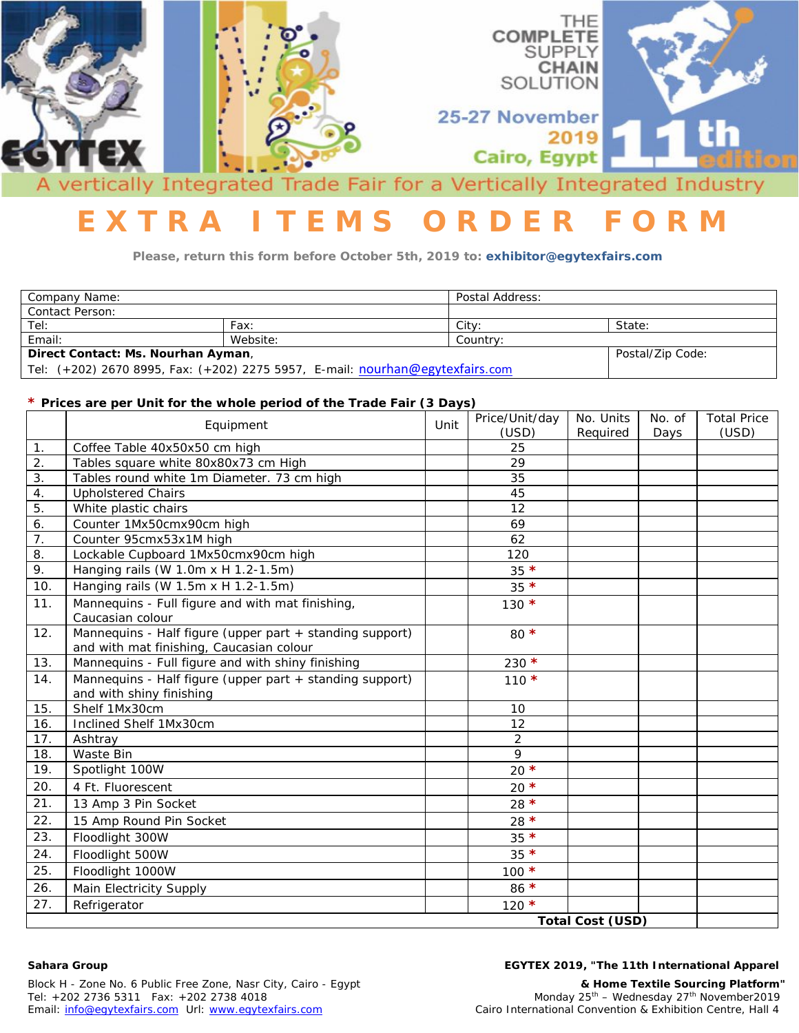

# **E X T R A I T E M S O R D E R F O R M**

**Please, return this form before October 5th, 2019 to: exhibitor@egytexfairs.com**

| Company Name:                                                                 |                  | Postal Address: |        |  |
|-------------------------------------------------------------------------------|------------------|-----------------|--------|--|
| Contact Person:                                                               |                  |                 |        |  |
| Tel:                                                                          | Fax:             | City:           | State: |  |
| Email:                                                                        | Website:         | Country:        |        |  |
| Direct Contact: Ms. Nourhan Ayman,                                            | Postal/Zip Code: |                 |        |  |
| Tel: (+202) 2670 8995, Fax: (+202) 2275 5957, E-mail: nourhan@egytexfairs.com |                  |                 |        |  |

### **\* Prices are per Unit for the whole period of the Trade Fair (3 Days)**

|                         | Equipment                                                                                            | Unit | Price/Unit/day | No. Units | No. of | <b>Total Price</b> |
|-------------------------|------------------------------------------------------------------------------------------------------|------|----------------|-----------|--------|--------------------|
| 1.                      |                                                                                                      |      | (USD)<br>25    | Required  | Days   | (USD)              |
| 2.                      | Coffee Table 40x50x50 cm high<br>Tables square white 80x80x73 cm High                                |      | 29             |           |        |                    |
| $\overline{3}$ .        |                                                                                                      |      |                |           |        |                    |
| $\overline{4}$ .        | Tables round white 1m Diameter. 73 cm high                                                           |      | 35<br>45       |           |        |                    |
| 5.                      | <b>Upholstered Chairs</b>                                                                            |      |                |           |        |                    |
|                         | White plastic chairs                                                                                 |      | 12             |           |        |                    |
| 6.<br>$\overline{7}$ .  | Counter 1Mx50cmx90cm high                                                                            |      | 69             |           |        |                    |
|                         | Counter 95cmx53x1M high                                                                              |      | 62             |           |        |                    |
| 8.                      | Lockable Cupboard 1Mx50cmx90cm high                                                                  |      | 120            |           |        |                    |
| 9.                      | Hanging rails (W 1.0m x H 1.2-1.5m)                                                                  |      | $35 *$         |           |        |                    |
| 10.                     | Hanging rails (W 1.5m x H 1.2-1.5m)                                                                  |      | $35 *$         |           |        |                    |
| 11.                     | Mannequins - Full figure and with mat finishing,<br>Caucasian colour                                 |      | $130 *$        |           |        |                    |
| 12.                     | Mannequins - Half figure (upper part + standing support)<br>and with mat finishing, Caucasian colour |      | 80 $*$         |           |        |                    |
| 13.                     | Mannequins - Full figure and with shiny finishing                                                    |      | $230 *$        |           |        |                    |
| 14.                     | Mannequins - Half figure (upper part + standing support)<br>and with shiny finishing                 |      | $110 *$        |           |        |                    |
| 15.                     | Shelf 1Mx30cm                                                                                        |      | 10             |           |        |                    |
| 16.                     | Inclined Shelf 1Mx30cm                                                                               |      | 12             |           |        |                    |
| 17.                     | Ashtray                                                                                              |      | $\overline{2}$ |           |        |                    |
| 18.                     | Waste Bin                                                                                            |      | 9              |           |        |                    |
| 19.                     | Spotlight 100W                                                                                       |      | $20$ *         |           |        |                    |
| 20.                     | 4 Ft. Fluorescent                                                                                    |      | $20*$          |           |        |                    |
| 21.                     | 13 Amp 3 Pin Socket                                                                                  |      | 28 $\star$     |           |        |                    |
| 22.                     | 15 Amp Round Pin Socket                                                                              |      | 28 $*$         |           |        |                    |
| 23.                     | Floodlight 300W                                                                                      |      | $35 *$         |           |        |                    |
| 24.                     | Floodlight 500W                                                                                      |      | $35 *$         |           |        |                    |
| 25.                     | Floodlight 1000W                                                                                     |      | $100 *$        |           |        |                    |
| 26.                     | Main Electricity Supply                                                                              |      | $86*$          |           |        |                    |
| 27.                     | Refrigerator                                                                                         |      | $120 *$        |           |        |                    |
| <b>Total Cost (USD)</b> |                                                                                                      |      |                |           |        |                    |

#### **Sahara Group EGYTEX 2019, "The 11th International Apparel**

Block H - Zone No. 6 Public Free Zone, Nasr City, Cairo - Egypt **& Home Textile Sourcing Platform"** Email: [info@egytexfairs.com](mailto:info@egytexfairs.com) Url: www.egytexfairs.com

Monday  $25^{th}$  – Wednesday  $27^{th}$  November2019<br>Cairo International Convention & Exhibition Centre, Hall 4